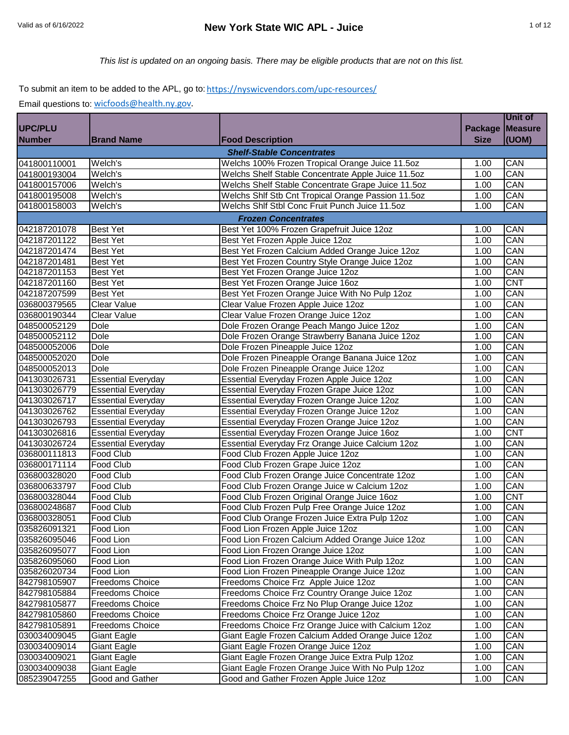*This list is updated on an ongoing basis. There may be eligible products that are not on this list.*

# To submit an item to be added to the APL, go to: https://nyswicvendors.com/upc-resources/

|               |                           |                                                    |                | <b>Unit of</b> |
|---------------|---------------------------|----------------------------------------------------|----------------|----------------|
| UPC/PLU       |                           |                                                    | <b>Package</b> | <b>Measure</b> |
| <b>Number</b> | <b>Brand Name</b>         | <b>Food Description</b>                            | <b>Size</b>    | (UOM)          |
|               |                           | <b>Shelf-Stable Concentrates</b>                   |                |                |
| 041800110001  | Welch's                   | Welchs 100% Frozen Tropical Orange Juice 11.5oz    | 1.00           | CAN            |
| 041800193004  | Welch's                   | Welchs Shelf Stable Concentrate Apple Juice 11.5oz | 1.00           | CAN            |
| 041800157006  | Welch's                   | Welchs Shelf Stable Concentrate Grape Juice 11.5oz | 1.00           | CAN            |
| 041800195008  | Welch's                   | Welchs Shlf Stb Cnt Tropical Orange Passion 11.5oz | 1.00           | CAN            |
| 041800158003  | Welch's                   | Welchs Shlf Stbl Conc Fruit Punch Juice 11.5oz     | 1.00           | CAN            |
|               |                           | <b>Frozen Concentrates</b>                         |                |                |
| 042187201078  | <b>Best Yet</b>           | Best Yet 100% Frozen Grapefruit Juice 12oz         | 1.00           | CAN            |
| 042187201122  | <b>Best Yet</b>           | Best Yet Frozen Apple Juice 12oz                   | 1.00           | CAN            |
| 042187201474  | <b>Best Yet</b>           | Best Yet Frozen Calcium Added Orange Juice 12oz    | 1.00           | CAN            |
| 042187201481  | <b>Best Yet</b>           | Best Yet Frozen Country Style Orange Juice 12oz    | 1.00           | CAN            |
| 042187201153  | <b>Best Yet</b>           | Best Yet Frozen Orange Juice 12oz                  | 1.00           | CAN            |
| 042187201160  | <b>Best Yet</b>           | Best Yet Frozen Orange Juice 16oz                  | 1.00           | <b>CNT</b>     |
| 042187207599  | <b>Best Yet</b>           | Best Yet Frozen Orange Juice With No Pulp 12oz     | 1.00           | CAN            |
| 036800379565  | <b>Clear Value</b>        | Clear Value Frozen Apple Juice 12oz                | 1.00           | CAN            |
| 036800190344  | Clear Value               | Clear Value Frozen Orange Juice 12oz               | 1.00           | CAN            |
| 048500052129  | Dole                      | Dole Frozen Orange Peach Mango Juice 12oz          | 1.00           | CAN            |
| 048500052112  | Dole                      | Dole Frozen Orange Strawberry Banana Juice 12oz    | 1.00           | CAN            |
| 048500052006  | <b>Dole</b>               | Dole Frozen Pineapple Juice 12oz                   | 1.00           | CAN            |
| 048500052020  | Dole                      | Dole Frozen Pineapple Orange Banana Juice 12oz     | 1.00           | CAN            |
| 048500052013  | Dole                      | Dole Frozen Pineapple Orange Juice 12oz            | 1.00           | CAN            |
| 041303026731  | <b>Essential Everyday</b> | Essential Everyday Frozen Apple Juice 12oz         | 1.00           | CAN            |
| 041303026779  | <b>Essential Everyday</b> | Essential Everyday Frozen Grape Juice 12oz         | 1.00           | CAN            |
| 041303026717  | <b>Essential Everyday</b> | Essential Everyday Frozen Orange Juice 12oz        | 1.00           | CAN            |
| 041303026762  | <b>Essential Everyday</b> | Essential Everyday Frozen Orange Juice 12oz        | 1.00           | CAN            |
| 041303026793  | <b>Essential Everyday</b> | Essential Everyday Frozen Orange Juice 12oz        | 1.00           | CAN            |
| 041303026816  | <b>Essential Everyday</b> | Essential Everyday Frozen Orange Juice 16oz        | 1.00           | <b>CNT</b>     |
| 041303026724  | <b>Essential Everyday</b> | Essential Everyday Frz Orange Juice Calcium 12oz   | 1.00           | CAN            |
| 036800111813  | Food Club                 | Food Club Frozen Apple Juice 12oz                  | 1.00           | CAN            |
| 036800171114  | Food Club                 | Food Club Frozen Grape Juice 12oz                  | 1.00           | CAN            |
| 036800328020  | Food Club                 | Food Club Frozen Orange Juice Concentrate 12oz     | 1.00           | CAN            |
| 036800633797  | Food Club                 | Food Club Frozen Orange Juice w Calcium 12oz       | 1.00           | CAN            |
| 036800328044  | Food Club                 | Food Club Frozen Original Orange Juice 16oz        | 1.00           | <b>CNT</b>     |
| 036800248687  | <b>Food Club</b>          | Food Club Frozen Pulp Free Orange Juice 12oz       | 1.00           | CAN            |
| 036800328051  | Food Club                 | Food Club Orange Frozen Juice Extra Pulp 12oz      | 1.00           | CAN            |
| 035826091321  | Food Lion                 | Food Lion Frozen Apple Juice 12oz                  | 1.00           | CAN            |
| 035826095046  | Food Lion                 | Food Lion Frozen Calcium Added Orange Juice 12oz   | 1.00           | CAN            |
| 035826095077  | Food Lion                 | Food Lion Frozen Orange Juice 12oz                 | 1.00           | CAN            |
| 035826095060  | Food Lion                 | Food Lion Frozen Orange Juice With Pulp 12oz       | 1.00           | CAN            |
| 035826020734  | Food Lion                 | Food Lion Frozen Pineapple Orange Juice 12oz       | 1.00           | CAN            |
| 842798105907  | <b>Freedoms Choice</b>    | Freedoms Choice Frz Apple Juice 12oz               | 1.00           | CAN            |
| 842798105884  | <b>Freedoms Choice</b>    | Freedoms Choice Frz Country Orange Juice 12oz      | 1.00           | CAN            |
| 842798105877  | <b>Freedoms Choice</b>    | Freedoms Choice Frz No Plup Orange Juice 12oz      | 1.00           | CAN            |
| 842798105860  | <b>Freedoms Choice</b>    | Freedoms Choice Frz Orange Juice 12oz              | 1.00           | CAN            |
| 842798105891  | <b>Freedoms Choice</b>    | Freedoms Choice Frz Orange Juice with Calcium 12oz | 1.00           | CAN            |
| 030034009045  | <b>Giant Eagle</b>        | Giant Eagle Frozen Calcium Added Orange Juice 12oz | 1.00           | CAN            |
| 030034009014  | <b>Giant Eagle</b>        | Giant Eagle Frozen Orange Juice 12oz               | 1.00           | CAN            |
| 030034009021  | <b>Giant Eagle</b>        | Giant Eagle Frozen Orange Juice Extra Pulp 12oz    | 1.00           | CAN            |
| 030034009038  | <b>Giant Eagle</b>        | Giant Eagle Frozen Orange Juice With No Pulp 12oz  | 1.00           | CAN            |
| 085239047255  | Good and Gather           | Good and Gather Frozen Apple Juice 12oz            | 1.00           | CAN            |
|               |                           |                                                    |                |                |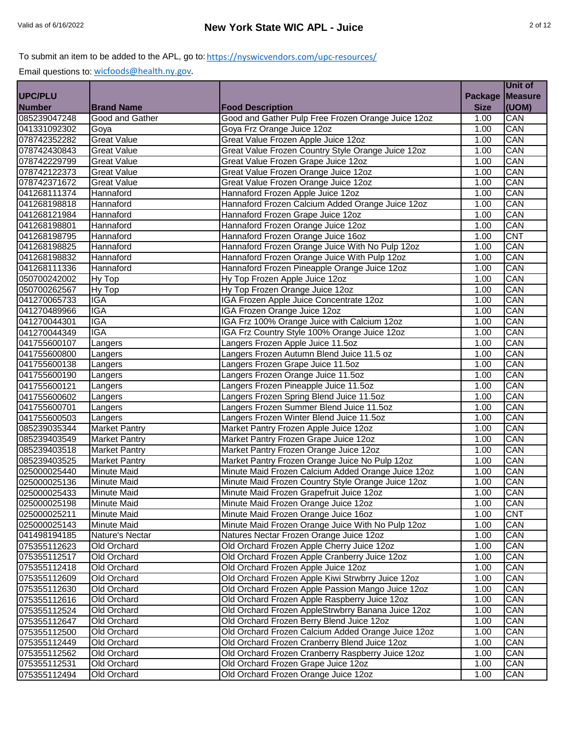|                |                        |                                                    |                    | Unit of        |
|----------------|------------------------|----------------------------------------------------|--------------------|----------------|
| <b>UPC/PLU</b> |                        |                                                    | <b>Package</b>     | <b>Measure</b> |
| <b>Number</b>  | <b>Brand Name</b>      | <b>Food Description</b>                            | <b>Size</b>        | (UOM)          |
| 085239047248   | <b>Good and Gather</b> | Good and Gather Pulp Free Frozen Orange Juice 12oz | 1.00               | CAN            |
| 041331092302   | Goya                   | Goya Frz Orange Juice 12oz                         | $\overline{1}$ .00 | CAN            |
| 078742352282   | <b>Great Value</b>     | Great Value Frozen Apple Juice 12oz                | 1.00               | CAN            |
| 078742430843   | <b>Great Value</b>     | Great Value Frozen Country Style Orange Juice 12oz | 1.00               | CAN            |
| 078742229799   | <b>Great Value</b>     | Great Value Frozen Grape Juice 12oz                | 1.00               | CAN            |
| 078742122373   | <b>Great Value</b>     | Great Value Frozen Orange Juice 12oz               | 1.00               | CAN            |
| 078742371672   | <b>Great Value</b>     | Great Value Frozen Orange Juice 12oz               | 1.00               | CAN            |
| 041268111374   | Hannaford              | Hannaford Frozen Apple Juice 12oz                  | 1.00               | CAN            |
| 041268198818   | Hannaford              | Hannaford Frozen Calcium Added Orange Juice 12oz   | 1.00               | CAN            |
| 041268121984   | Hannaford              | Hannaford Frozen Grape Juice 12oz                  | 1.00               | CAN            |
| 041268198801   | Hannaford              | Hannaford Frozen Orange Juice 12oz                 | 1.00               | CAN            |
| 041268198795   | Hannaford              | Hannaford Frozen Orange Juice 16oz                 | 1.00               | <b>CNT</b>     |
| 041268198825   | Hannaford              | Hannaford Frozen Orange Juice With No Pulp 12oz    | 1.00               | CAN            |
| 041268198832   | Hannaford              | Hannaford Frozen Orange Juice With Pulp 12oz       | 1.00               | CAN            |
| 041268111336   | Hannaford              | Hannaford Frozen Pineapple Orange Juice 12oz       | 1.00               | CAN            |
| 050700242002   | Hy Top                 | Hy Top Frozen Apple Juice 12oz                     | 1.00               | CAN            |
| 050700262567   | Hy Top                 | Hy Top Frozen Orange Juice 12oz                    | 1.00               | CAN            |
| 041270065733   | IGA                    | IGA Frozen Apple Juice Concentrate 12oz            | 1.00               | CAN            |
|                | <b>IGA</b>             |                                                    |                    | CAN            |
| 041270489966   |                        | IGA Frozen Orange Juice 12oz                       | 1.00               |                |
| 041270044301   | IGA                    | IGA Frz 100% Orange Juice with Calcium 12oz        | 1.00               | CAN            |
| 041270044349   | <b>IGA</b>             | IGA Frz Country Style 100% Orange Juice 12oz       | 1.00               | CAN            |
| 041755600107   | Langers                | Langers Frozen Apple Juice 11.5oz                  | 1.00               | CAN            |
| 041755600800   | Langers                | Langers Frozen Autumn Blend Juice 11.5 oz          | 1.00               | CAN            |
| 041755600138   | Langers                | Langers Frozen Grape Juice 11.5oz                  | 1.00               | CAN            |
| 041755600190   | Langers                | Langers Frozen Orange Juice 11.5oz                 | 1.00               | CAN            |
| 041755600121   | Langers                | Langers Frozen Pineapple Juice 11.5oz              | 1.00               | CAN            |
| 041755600602   | Langers                | Langers Frozen Spring Blend Juice 11.5oz           | 1.00               | CAN            |
| 041755600701   | Langers                | Langers Frozen Summer Blend Juice 11.5oz           | 1.00               | CAN            |
| 041755600503   | Langers                | Langers Frozen Winter Blend Juice 11.5oz           | 1.00               | CAN            |
| 085239035344   | <b>Market Pantry</b>   | Market Pantry Frozen Apple Juice 12oz              | 1.00               | CAN            |
| 085239403549   | <b>Market Pantry</b>   | Market Pantry Frozen Grape Juice 12oz              | 1.00               | CAN            |
| 085239403518   | <b>Market Pantry</b>   | Market Pantry Frozen Orange Juice 12oz             | 1.00               | CAN            |
| 085239403525   | <b>Market Pantry</b>   | Market Pantry Frozen Orange Juice No Pulp 12oz     | 1.00               | CAN            |
| 025000025440   | <b>Minute Maid</b>     | Minute Maid Frozen Calcium Added Orange Juice 12oz | 1.00               | CAN            |
| 025000025136   | <b>Minute Maid</b>     | Minute Maid Frozen Country Style Orange Juice 12oz | 1.00               | CAN            |
| 025000025433   | <b>Minute Maid</b>     | Minute Maid Frozen Grapefruit Juice 12oz           | 1.00               | CAN            |
| 025000025198   | <b>Minute Maid</b>     | Minute Maid Frozen Orange Juice 12oz               | 1.00               | CAN            |
| 025000025211   | <b>Minute Maid</b>     | Minute Maid Frozen Orange Juice 16oz               | 1.00               | <b>CNT</b>     |
| 025000025143   | Minute Maid            | Minute Maid Frozen Orange Juice With No Pulp 12oz  | 1.00               | CAN            |
| 041498194185   | Nature's Nectar        | Natures Nectar Frozen Orange Juice 12oz            | 1.00               | CAN            |
| 075355112623   | Old Orchard            | Old Orchard Frozen Apple Cherry Juice 12oz         | 1.00               | CAN            |
| 075355112517   | Old Orchard            | Old Orchard Frozen Apple Cranberry Juice 12oz      | 1.00               | CAN            |
| 075355112418   | Old Orchard            | Old Orchard Frozen Apple Juice 12oz                | 1.00               | CAN            |
| 075355112609   | Old Orchard            | Old Orchard Frozen Apple Kiwi Strwbrry Juice 12oz  | 1.00               | CAN            |
| 075355112630   | Old Orchard            | Old Orchard Frozen Apple Passion Mango Juice 12oz  | 1.00               | CAN            |
| 075355112616   | Old Orchard            | Old Orchard Frozen Apple Raspberry Juice 12oz      | 1.00               | CAN            |
| 075355112524   | Old Orchard            | Old Orchard Frozen AppleStrwbrry Banana Juice 12oz | 1.00               | CAN            |
| 075355112647   | Old Orchard            | Old Orchard Frozen Berry Blend Juice 12oz          | 1.00               | CAN            |
| 075355112500   | Old Orchard            | Old Orchard Frozen Calcium Added Orange Juice 12oz | 1.00               | CAN            |
| 075355112449   | Old Orchard            | Old Orchard Frozen Cranberry Blend Juice 12oz      | 1.00               | CAN            |
| 075355112562   | Old Orchard            | Old Orchard Frozen Cranberry Raspberry Juice 12oz  | 1.00               | CAN            |
| 075355112531   | Old Orchard            | Old Orchard Frozen Grape Juice 12oz                | 1.00               | CAN            |
| 075355112494   | Old Orchard            | Old Orchard Frozen Orange Juice 12oz               | 1.00               | CAN            |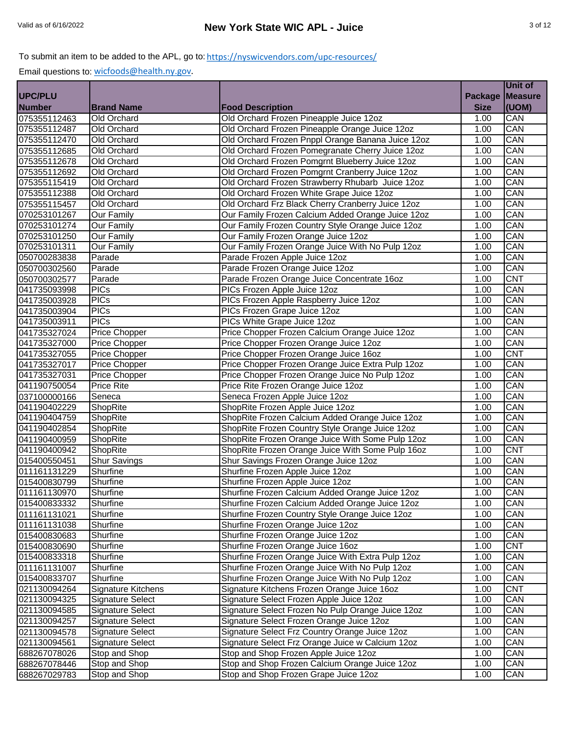|                              |                      |                                                   |                | Unit of        |
|------------------------------|----------------------|---------------------------------------------------|----------------|----------------|
| <b>UPC/PLU</b>               |                      |                                                   | <b>Package</b> | <b>Measure</b> |
| <b>Number</b>                | <b>Brand Name</b>    | <b>Food Description</b>                           | <b>Size</b>    | (UOM)          |
| 075355112463                 | Old Orchard          | Old Orchard Frozen Pineapple Juice 12oz           | 1.00           | CAN            |
| 075355112487                 | Old Orchard          | Old Orchard Frozen Pineapple Orange Juice 12oz    | 1.00           | CAN            |
| 075355112470                 | Old Orchard          | Old Orchard Frozen Pnppl Orange Banana Juice 12oz | 1.00           | CAN            |
| 075355112685                 | Old Orchard          | Old Orchard Frozen Pomegranate Cherry Juice 12oz  | 1.00           | CAN            |
| 075355112678                 | Old Orchard          | Old Orchard Frozen Pomgrnt Blueberry Juice 12oz   | 1.00           | CAN            |
| 075355112692                 | Old Orchard          | Old Orchard Frozen Pomgrnt Cranberry Juice 12oz   | 1.00           | CAN            |
| 075355115419                 | Old Orchard          | Old Orchard Frozen Strawberry Rhubarb Juice 12oz  | 1.00           | CAN            |
| 075355112388                 | Old Orchard          | Old Orchard Frozen White Grape Juice 12oz         | 1.00           | CAN            |
| 075355115457                 | Old Orchard          | Old Orchard Frz Black Cherry Cranberry Juice 12oz | 1.00           | CAN            |
| 070253101267                 | Our Family           | Our Family Frozen Calcium Added Orange Juice 12oz | 1.00           | CAN            |
| 070253101274                 | <b>Our Family</b>    | Our Family Frozen Country Style Orange Juice 12oz | 1.00           | CAN            |
| 070253101250                 | <b>Our Family</b>    | Our Family Frozen Orange Juice 12oz               | 1.00           | CAN            |
| 070253101311                 | <b>Our Family</b>    | Our Family Frozen Orange Juice With No Pulp 12oz  | 1.00           | CAN            |
| 050700283838                 | Parade               | Parade Frozen Apple Juice 12oz                    | 1.00           | CAN            |
| 050700302560                 | Parade               | Parade Frozen Orange Juice 12oz                   | 1.00           | CAN            |
| 050700302577                 | Parade               | Parade Frozen Orange Juice Concentrate 16oz       | 1.00           | <b>CNT</b>     |
| 041735093998                 | <b>PICs</b>          | PICs Frozen Apple Juice 12oz                      | 1.00           | CAN            |
| 041735003928                 | <b>PICs</b>          | PICs Frozen Apple Raspberry Juice 12oz            | 1.00           | CAN            |
| 041735003904                 | <b>PICs</b>          | PICs Frozen Grape Juice 12oz                      | 1.00           | CAN            |
| 041735003911                 | <b>PICs</b>          | PICs White Grape Juice 12oz                       | 1.00           | CAN            |
|                              | Price Chopper        | Price Chopper Frozen Calcium Orange Juice 12oz    | 1.00           | CAN            |
| 041735327024<br>041735327000 | <b>Price Chopper</b> | Price Chopper Frozen Orange Juice 12oz            | 1.00           | CAN            |
| 041735327055                 | Price Chopper        | Price Chopper Frozen Orange Juice 16oz            | 1.00           | <b>CNT</b>     |
| 041735327017                 | Price Chopper        | Price Chopper Frozen Orange Juice Extra Pulp 12oz | 1.00           | CAN            |
| 041735327031                 | <b>Price Chopper</b> | Price Chopper Frozen Orange Juice No Pulp 12oz    | 1.00           | CAN            |
| 041190750054                 | <b>Price Rite</b>    | Price Rite Frozen Orange Juice 12oz               | 1.00           | CAN            |
| 037100000166                 | Seneca               | Seneca Frozen Apple Juice 12oz                    | 1.00           | CAN            |
| 041190402229                 | ShopRite             | ShopRite Frozen Apple Juice 12oz                  | 1.00           | CAN            |
| 041190404759                 | ShopRite             | ShopRite Frozen Calcium Added Orange Juice 12oz   | 1.00           | CAN            |
| 041190402854                 | ShopRite             | ShopRite Frozen Country Style Orange Juice 12oz   | 1.00           | CAN            |
| 041190400959                 | ShopRite             | ShopRite Frozen Orange Juice With Some Pulp 12oz  | 1.00           | CAN            |
| 041190400942                 | ShopRite             | ShopRite Frozen Orange Juice With Some Pulp 16oz  | 1.00           | <b>CNT</b>     |
| 015400550451                 | <b>Shur Savings</b>  | Shur Savings Frozen Orange Juice 12oz             | 1.00           | CAN            |
| 011161131229                 | Shurfine             | Shurfine Frozen Apple Juice 12oz                  | 1.00           | CAN            |
| 015400830799                 | Shurfine             | Shurfine Frozen Apple Juice 12oz                  | 1.00           | CAN            |
| 011161130970                 | Shurfine             | Shurfine Frozen Calcium Added Orange Juice 12oz   | 1.00           | CAN            |
| 015400833332                 | Shurfine             | Shurfine Frozen Calcium Added Orange Juice 12oz   | 1.00           | CAN            |
| 011161131021                 | Shurfine             | Shurfine Frozen Country Style Orange Juice 12oz   | 1.00           | CAN            |
| 011161131038                 | Shurfine             | Shurfine Frozen Orange Juice 12oz                 | 1.00           | CAN            |
| 015400830683                 | Shurfine             | Shurfine Frozen Orange Juice 12oz                 | 1.00           | CAN            |
| 015400830690                 | Shurfine             | Shurfine Frozen Orange Juice 16oz                 | 1.00           | <b>CNT</b>     |
| 015400833318                 | Shurfine             | Shurfine Frozen Orange Juice With Extra Pulp 12oz | 1.00           | CAN            |
| 011161131007                 | Shurfine             | Shurfine Frozen Orange Juice With No Pulp 12oz    | 1.00           | CAN            |
| 015400833707                 | Shurfine             | Shurfine Frozen Orange Juice With No Pulp 12oz    | 1.00           | CAN            |
| 021130094264                 | Signature Kitchens   | Signature Kitchens Frozen Orange Juice 16oz       | 1.00           | <b>CNT</b>     |
| 021130094325                 | Signature Select     | Signature Select Frozen Apple Juice 12oz          | 1.00           | CAN            |
| 021130094585                 | Signature Select     | Signature Select Frozen No Pulp Orange Juice 12oz | 1.00           | CAN            |
| 021130094257                 | Signature Select     | Signature Select Frozen Orange Juice 12oz         | 1.00           | CAN            |
| 021130094578                 | Signature Select     | Signature Select Frz Country Orange Juice 12oz    | 1.00           | CAN            |
| 021130094561                 | Signature Select     | Signature Select Frz Orange Juice w Calcium 12oz  | 1.00           | CAN            |
| 688267078026                 | Stop and Shop        | Stop and Shop Frozen Apple Juice 12oz             | 1.00           | CAN            |
| 688267078446                 | Stop and Shop        | Stop and Shop Frozen Calcium Orange Juice 12oz    | 1.00           | CAN            |
| 688267029783                 | Stop and Shop        | Stop and Shop Frozen Grape Juice 12oz             | 1.00           | CAN            |
|                              |                      |                                                   |                |                |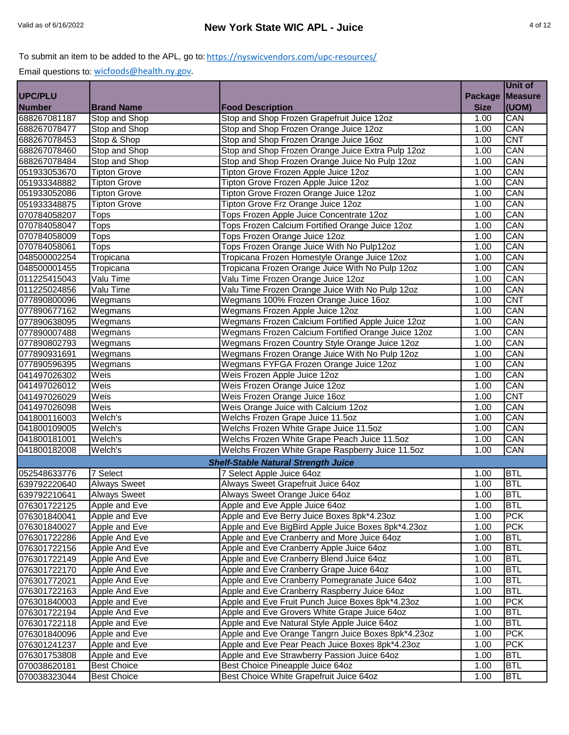|                |                     |                                                    |                | Unit of    |
|----------------|---------------------|----------------------------------------------------|----------------|------------|
| <b>UPC/PLU</b> |                     |                                                    | <b>Package</b> | Measure    |
| <b>Number</b>  | <b>Brand Name</b>   | <b>Food Description</b>                            | <b>Size</b>    | (UOM)      |
| 688267081187   | Stop and Shop       | Stop and Shop Frozen Grapefruit Juice 12oz         | 1.00           | CAN        |
| 688267078477   | Stop and Shop       | Stop and Shop Frozen Orange Juice 12oz             | 1.00           | CAN        |
| 688267078453   | Stop & Shop         | Stop and Shop Frozen Orange Juice 16oz             | 1.00           | <b>CNT</b> |
| 688267078460   | Stop and Shop       | Stop and Shop Frozen Orange Juice Extra Pulp 12oz  | 1.00           | CAN        |
| 688267078484   | Stop and Shop       | Stop and Shop Frozen Orange Juice No Pulp 12oz     | 1.00           | CAN        |
| 051933053670   | <b>Tipton Grove</b> | Tipton Grove Frozen Apple Juice 12oz               | 1.00           | CAN        |
| 051933348882   | <b>Tipton Grove</b> | Tipton Grove Frozen Apple Juice 12oz               | 1.00           | CAN        |
| 051933052086   | <b>Tipton Grove</b> | Tipton Grove Frozen Orange Juice 12oz              | 1.00           | CAN        |
| 051933348875   | <b>Tipton Grove</b> | Tipton Grove Frz Orange Juice 12oz                 | 1.00           | CAN        |
| 070784058207   | <b>Tops</b>         | Tops Frozen Apple Juice Concentrate 12oz           | 1.00           | CAN        |
| 070784058047   | Tops                | Tops Frozen Calcium Fortified Orange Juice 12oz    | 1.00           | CAN        |
| 070784058009   | Tops                | Tops Frozen Orange Juice 12oz                      | 1.00           | CAN        |
| 070784058061   | Tops                | Tops Frozen Orange Juice With No Pulp12oz          | 1.00           | CAN        |
| 048500002254   | Tropicana           | Tropicana Frozen Homestyle Orange Juice 12oz       | 1.00           | CAN        |
| 048500001455   | Tropicana           | Tropicana Frozen Orange Juice With No Pulp 12oz    | 1.00           | CAN        |
| 011225415043   | Valu Time           | Valu Time Frozen Orange Juice 12oz                 | 1.00           | CAN        |
| 011225024856   | Valu Time           | Valu Time Frozen Orange Juice With No Pulp 12oz    | 1.00           | CAN        |
| 077890800096   | Wegmans             | Wegmans 100% Frozen Orange Juice 16oz              | 1.00           | <b>CNT</b> |
| 077890677162   | Wegmans             | Wegmans Frozen Apple Juice 12oz                    | 1.00           | CAN        |
| 077890638095   | Wegmans             | Wegmans Frozen Calcium Fortified Apple Juice 12oz  | 1.00           | CAN        |
| 077890007488   | Wegmans             | Wegmans Frozen Calcium Fortified Orange Juice 12oz | 1.00           | CAN        |
| 077890802793   | Wegmans             | Wegmans Frozen Country Style Orange Juice 12oz     | 1.00           | CAN        |
| 077890931691   | Wegmans             | Wegmans Frozen Orange Juice With No Pulp 12oz      | 1.00           | CAN        |
| 077890596395   | Wegmans             | Wegmans FYFGA Frozen Orange Juice 12oz             | 1.00           | CAN        |
| 041497026302   | Weis                | Weis Frozen Apple Juice 12oz                       | 1.00           | CAN        |
| 041497026012   | Weis                | Weis Frozen Orange Juice 12oz                      | 1.00           | CAN        |
| 041497026029   | Weis                | Weis Frozen Orange Juice 16oz                      | 1.00           | <b>CNT</b> |
| 041497026098   | Weis                | Weis Orange Juice with Calcium 12oz                | 1.00           | CAN        |
| 041800116003   | Welch's             | Welchs Frozen Grape Juice 11.5oz                   | 1.00           | CAN        |
| 041800109005   | Welch's             | Welchs Frozen White Grape Juice 11.5oz             | 1.00           | CAN        |
| 041800181001   | Welch's             | Welchs Frozen White Grape Peach Juice 11.5oz       | 1.00           | CAN        |
| 041800182008   | Welch's             | Welchs Frozen White Grape Raspberry Juice 11.5oz   | 1.00           | CAN        |
|                |                     | <b>Shelf-Stable Natural Strength Juice</b>         |                |            |
| 052548633776   | 7 Select            | 7 Select Apple Juice 64oz                          | 1.00           | <b>BTL</b> |
| 639792220640   | <b>Always Sweet</b> | Always Sweet Grapefruit Juice 64oz                 | 1.00           | <b>BTL</b> |
| 639792210641   | <b>Always Sweet</b> | Always Sweet Orange Juice 64oz                     | 1.00           | <b>BTL</b> |
| 076301722125   | Apple and Eve       | Apple and Eve Apple Juice 64oz                     | 1.00           | <b>BTL</b> |
| 076301840041   | Apple and Eve       | Apple and Eve Berry Juice Boxes 8pk*4.23oz         | 1.00           | <b>PCK</b> |
| 076301840027   | Apple and Eve       | Apple and Eve BigBird Apple Juice Boxes 8pk*4.23oz | 1.00           | <b>PCK</b> |
| 076301722286   | Apple And Eve       | Apple and Eve Cranberry and More Juice 64oz        | 1.00           | <b>BTL</b> |
| 076301722156   | Apple And Eve       | Apple and Eve Cranberry Apple Juice 64oz           | 1.00           | <b>BTL</b> |
| 076301722149   | Apple And Eve       | Apple and Eve Cranberry Blend Juice 64oz           | 1.00           | <b>BTL</b> |
| 076301722170   | Apple And Eve       | Apple and Eve Cranberry Grape Juice 64oz           | 1.00           | <b>BTL</b> |
| 076301772021   | Apple And Eve       | Apple and Eve Cranberry Pomegranate Juice 64oz     | 1.00           | <b>BTL</b> |
| 076301722163   | Apple And Eve       | Apple and Eve Cranberry Raspberry Juice 64oz       | 1.00           | <b>BTL</b> |
| 076301840003   | Apple and Eve       | Apple and Eve Fruit Punch Juice Boxes 8pk*4.23oz   | 1.00           | <b>PCK</b> |
| 076301722194   | Apple And Eve       | Apple and Eve Grovers White Grape Juice 64oz       | 1.00           | <b>BTL</b> |
| 076301722118   | Apple and Eve       | Apple and Eve Natural Style Apple Juice 64oz       | 1.00           | <b>BTL</b> |
| 076301840096   | Apple and Eve       | Apple and Eve Orange Tangrn Juice Boxes 8pk*4.23oz | 1.00           | <b>PCK</b> |
| 076301241237   | Apple and Eve       | Apple and Eve Pear Peach Juice Boxes 8pk*4.23oz    | 1.00           | <b>PCK</b> |
| 076301753808   | Apple and Eve       | Apple and Eve Strawberry Passion Juice 64oz        | 1.00           | <b>BTL</b> |
| 070038620181   | <b>Best Choice</b>  | Best Choice Pineapple Juice 64oz                   | 1.00           | <b>BTL</b> |
| 070038323044   | <b>Best Choice</b>  | Best Choice White Grapefruit Juice 64oz            | 1.00           | <b>BTL</b> |
|                |                     |                                                    |                |            |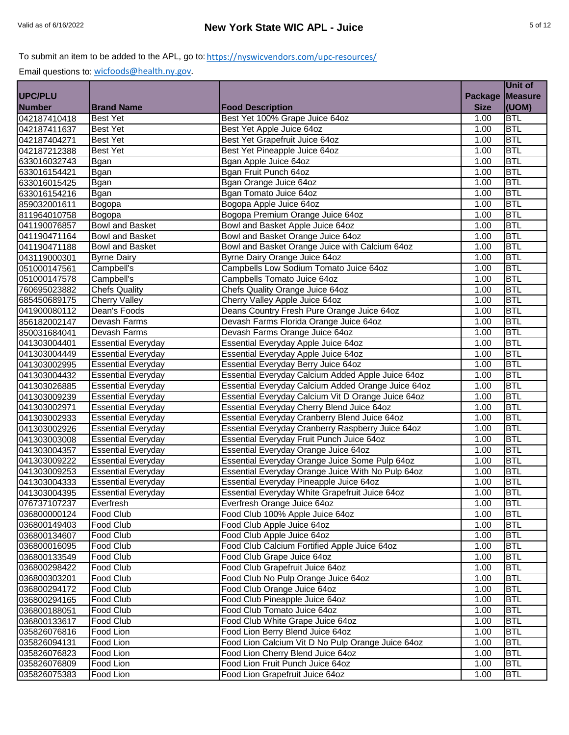|                |                           |                                                    |                | Unit of        |
|----------------|---------------------------|----------------------------------------------------|----------------|----------------|
| <b>UPC/PLU</b> |                           |                                                    | <b>Package</b> | <b>Measure</b> |
| <b>Number</b>  | <b>Brand Name</b>         | <b>Food Description</b>                            | <b>Size</b>    | (UOM)          |
| 042187410418   | <b>Best Yet</b>           | Best Yet 100% Grape Juice 64oz                     | 1.00           | <b>BTL</b>     |
| 042187411637   | <b>Best Yet</b>           | Best Yet Apple Juice 64oz                          | 1.00           | <b>BTL</b>     |
| 042187404271   | <b>Best Yet</b>           | Best Yet Grapefruit Juice 64oz                     | 1.00           | <b>BTL</b>     |
| 042187212388   | <b>Best Yet</b>           | Best Yet Pineapple Juice 64oz                      | 1.00           | <b>BTL</b>     |
| 633016032743   | <b>Bgan</b>               | Bgan Apple Juice 64oz                              | 1.00           | <b>BTL</b>     |
| 633016154421   | <b>Bgan</b>               | Bgan Fruit Punch 64oz                              | 1.00           | <b>BTL</b>     |
| 633016015425   | <b>Bgan</b>               | Bgan Orange Juice 64oz                             | 1.00           | <b>BTL</b>     |
| 633016154216   | <b>Bgan</b>               | Bgan Tomato Juice 64oz                             | 1.00           | <b>BTL</b>     |
| 859032001611   | Bogopa                    | Bogopa Apple Juice 64oz                            | 1.00           | <b>BTL</b>     |
| 811964010758   | Bogopa                    | Bogopa Premium Orange Juice 64oz                   | 1.00           | <b>BTL</b>     |
| 041190076857   | <b>Bowl and Basket</b>    | Bowl and Basket Apple Juice 64oz                   | 1.00           | <b>BTL</b>     |
| 041190471164   | <b>Bowl and Basket</b>    | Bowl and Basket Orange Juice 64oz                  | 1.00           | <b>BTL</b>     |
| 041190471188   | <b>Bowl and Basket</b>    | Bowl and Basket Orange Juice with Calcium 64oz     | 1.00           | <b>BTL</b>     |
| 043119000301   | <b>Byrne Dairy</b>        | Byrne Dairy Orange Juice 64oz                      | 1.00           | <b>BTL</b>     |
| 051000147561   | Campbell's                | Campbells Low Sodium Tomato Juice 64oz             | 1.00           | <b>BTL</b>     |
| 051000147578   | Campbell's                | Campbells Tomato Juice 64oz                        | 1.00           | <b>BTL</b>     |
| 760695023882   | <b>Chefs Quality</b>      | Chefs Quality Orange Juice 64oz                    | 1.00           | <b>BTL</b>     |
| 685450689175   | <b>Cherry Valley</b>      | Cherry Valley Apple Juice 64oz                     | 1.00           | <b>BTL</b>     |
| 041900080112   | Dean's Foods              | Deans Country Fresh Pure Orange Juice 64oz         | 1.00           | <b>BTL</b>     |
| 856182002147   | Devash Farms              | Devash Farms Florida Orange Juice 64oz             | 1.00           | <b>BTL</b>     |
| 850031684041   | Devash Farms              | Devash Farms Orange Juice 64oz                     | 1.00           | <b>BTL</b>     |
| 041303004401   | <b>Essential Everyday</b> | Essential Everyday Apple Juice 64oz                | 1.00           | <b>BTL</b>     |
| 041303004449   | <b>Essential Everyday</b> | Essential Everyday Apple Juice 64oz                | 1.00           | <b>BTL</b>     |
| 041303002995   | <b>Essential Everyday</b> | Essential Everyday Berry Juice 64oz                | 1.00           | <b>BTL</b>     |
| 041303004432   | <b>Essential Everyday</b> | Essential Everyday Calcium Added Apple Juice 64oz  | 1.00           | <b>BTL</b>     |
| 041303026885   | <b>Essential Everyday</b> | Essential Everyday Calcium Added Orange Juice 64oz | 1.00           | <b>BTL</b>     |
| 041303009239   | <b>Essential Everyday</b> | Essential Everyday Calcium Vit D Orange Juice 64oz | 1.00           | <b>BTL</b>     |
| 041303002971   | <b>Essential Everyday</b> | Essential Everyday Cherry Blend Juice 64oz         | 1.00           | <b>BTL</b>     |
| 041303002933   | <b>Essential Everyday</b> | Essential Everyday Cranberry Blend Juice 64oz      | 1.00           | <b>BTL</b>     |
| 041303002926   | <b>Essential Everyday</b> | Essential Everyday Cranberry Raspberry Juice 64oz  | 1.00           | <b>BTL</b>     |
| 041303003008   | <b>Essential Everyday</b> | Essential Everyday Fruit Punch Juice 64oz          | 1.00           | <b>BTL</b>     |
| 041303004357   | <b>Essential Everyday</b> | Essential Everyday Orange Juice 64oz               | 1.00           | <b>BTL</b>     |
| 041303009222   | <b>Essential Everyday</b> | Essential Everyday Orange Juice Some Pulp 64oz     | 1.00           | <b>BTL</b>     |
| 041303009253   | <b>Essential Everyday</b> | Essential Everyday Orange Juice With No Pulp 64oz  | 1.00           | <b>BTL</b>     |
| 041303004333   | <b>Essential Everyday</b> | Essential Everyday Pineapple Juice 64oz            | 1.00           | <b>BTL</b>     |
| 041303004395   | <b>Essential Everyday</b> | Essential Everyday White Grapefruit Juice 64oz     | 1.00           | <b>BTL</b>     |
| 076737107237   | Everfresh                 | Everfresh Orange Juice 64oz                        | 1.00           | <b>BTL</b>     |
| 036800000124   | Food Club                 | Food Club 100% Apple Juice 64oz                    | 1.00           | <b>BTL</b>     |
| 036800149403   | Food Club                 | Food Club Apple Juice 64oz                         | 1.00           | <b>BTL</b>     |
| 036800134607   | Food Club                 | Food Club Apple Juice 64oz                         | 1.00           | <b>BTL</b>     |
| 036800016095   | <b>Food Club</b>          | Food Club Calcium Fortified Apple Juice 64oz       | 1.00           | <b>BTL</b>     |
| 036800133549   | Food Club                 | Food Club Grape Juice 64oz                         | 1.00           | <b>BTL</b>     |
| 036800298422   | Food Club                 | Food Club Grapefruit Juice 64oz                    | 1.00           | <b>BTL</b>     |
| 036800303201   | Food Club                 | Food Club No Pulp Orange Juice 64oz                | 1.00           | <b>BTL</b>     |
| 036800294172   | Food Club                 | Food Club Orange Juice 64oz                        | 1.00           | <b>BTL</b>     |
| 036800294165   | Food Club                 | Food Club Pineapple Juice 64oz                     | 1.00           | <b>BTL</b>     |
| 036800188051   | Food Club                 | Food Club Tomato Juice 64oz                        | 1.00           | <b>BTL</b>     |
| 036800133617   | Food Club                 | Food Club White Grape Juice 64oz                   | 1.00           | <b>BTL</b>     |
| 035826076816   | Food Lion                 | Food Lion Berry Blend Juice 64oz                   | 1.00           | <b>BTL</b>     |
| 035826094131   | Food Lion                 | Food Lion Calcium Vit D No Pulp Orange Juice 64oz  | 1.00           | <b>BTL</b>     |
| 035826076823   | Food Lion                 | Food Lion Cherry Blend Juice 64oz                  | 1.00           | <b>BTL</b>     |
| 035826076809   | Food Lion                 | Food Lion Fruit Punch Juice 64oz                   | 1.00           | <b>BTL</b>     |
| 035826075383   | Food Lion                 | Food Lion Grapefruit Juice 64oz                    | 1.00           | <b>BTL</b>     |
|                |                           |                                                    |                |                |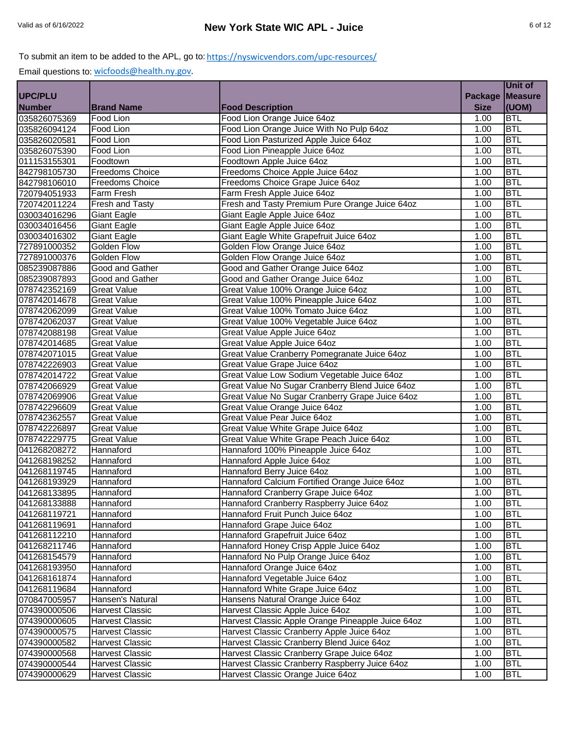|                |                        |                                                   |                    | Unit of    |
|----------------|------------------------|---------------------------------------------------|--------------------|------------|
| <b>UPC/PLU</b> |                        |                                                   | Package Measure    |            |
| <b>Number</b>  | <b>Brand Name</b>      | <b>Food Description</b>                           | <b>Size</b>        | (UOM)      |
| 035826075369   | Food Lion              | Food Lion Orange Juice 64oz                       | $\overline{1}$ .00 | <b>BTL</b> |
| 035826094124   | Food Lion              | Food Lion Orange Juice With No Pulp 64oz          | 1.00               | <b>BTL</b> |
| 035826020581   | Food Lion              | Food Lion Pasturized Apple Juice 64oz             | 1.00               | <b>BTL</b> |
| 035826075390   | Food Lion              | Food Lion Pineapple Juice 64oz                    | 1.00               | <b>BTL</b> |
| 011153155301   | Foodtown               | Foodtown Apple Juice 64oz                         | 1.00               | <b>BTL</b> |
| 842798105730   | <b>Freedoms Choice</b> | Freedoms Choice Apple Juice 64oz                  | 1.00               | <b>BTL</b> |
| 842798106010   | <b>Freedoms Choice</b> | Freedoms Choice Grape Juice 64oz                  | 1.00               | <b>BTL</b> |
| 720794051933   | Farm Fresh             | Farm Fresh Apple Juice 64oz                       | 1.00               | <b>BTL</b> |
| 720742011224   | Fresh and Tasty        | Fresh and Tasty Premium Pure Orange Juice 64oz    | 1.00               | <b>BTL</b> |
| 030034016296   | <b>Giant Eagle</b>     | Giant Eagle Apple Juice 64oz                      | 1.00               | <b>BTL</b> |
| 030034016456   | Giant Eagle            | Giant Eagle Apple Juice 64oz                      | 1.00               | <b>BTL</b> |
| 030034016302   | Giant Eagle            | Giant Eagle White Grapefruit Juice 64oz           | 1.00               | <b>BTL</b> |
| 727891000352   | Golden Flow            | Golden Flow Orange Juice 64oz                     | 1.00               | <b>BTL</b> |
| 727891000376   | Golden Flow            | Golden Flow Orange Juice 64oz                     | 1.00               | <b>BTL</b> |
| 085239087886   | Good and Gather        | Good and Gather Orange Juice 64oz                 | 1.00               | <b>BTL</b> |
| 085239087893   | Good and Gather        | Good and Gather Orange Juice 64oz                 | 1.00               | <b>BTL</b> |
| 078742352169   | <b>Great Value</b>     | Great Value 100% Orange Juice 64oz                | 1.00               | <b>BTL</b> |
| 078742014678   | <b>Great Value</b>     | Great Value 100% Pineapple Juice 64oz             | 1.00               | <b>BTL</b> |
| 078742062099   | <b>Great Value</b>     | Great Value 100% Tomato Juice 64oz                | 1.00               | <b>BTL</b> |
| 078742062037   | <b>Great Value</b>     | Great Value 100% Vegetable Juice 64oz             | 1.00               | <b>BTL</b> |
| 078742088198   | <b>Great Value</b>     | Great Value Apple Juice 64oz                      | 1.00               | <b>BTL</b> |
| 078742014685   | <b>Great Value</b>     | Great Value Apple Juice 64oz                      | 1.00               | <b>BTL</b> |
| 078742071015   | <b>Great Value</b>     | Great Value Cranberry Pomegranate Juice 64oz      | 1.00               | <b>BTL</b> |
| 078742226903   | <b>Great Value</b>     | Great Value Grape Juice 64oz                      | 1.00               | <b>BTL</b> |
| 078742014722   | <b>Great Value</b>     | Great Value Low Sodium Vegetable Juice 64oz       | 1.00               | <b>BTL</b> |
| 078742066929   | <b>Great Value</b>     | Great Value No Sugar Cranberry Blend Juice 64oz   | 1.00               | <b>BTL</b> |
| 078742069906   | <b>Great Value</b>     | Great Value No Sugar Cranberry Grape Juice 64oz   | 1.00               | <b>BTL</b> |
| 078742296609   | <b>Great Value</b>     | Great Value Orange Juice 64oz                     | 1.00               | <b>BTL</b> |
| 078742362557   | <b>Great Value</b>     | Great Value Pear Juice 64oz                       | 1.00               | <b>BTL</b> |
| 078742226897   | <b>Great Value</b>     | Great Value White Grape Juice 64oz                | 1.00               | <b>BTL</b> |
| 078742229775   | <b>Great Value</b>     | Great Value White Grape Peach Juice 64oz          | 1.00               | <b>BTL</b> |
| 041268208272   | Hannaford              | Hannaford 100% Pineapple Juice 64oz               | 1.00               | <b>BTL</b> |
| 041268198252   | Hannaford              | Hannaford Apple Juice 64oz                        | 1.00               | <b>BTL</b> |
| 041268119745   | Hannaford              | Hannaford Berry Juice 64oz                        | $\overline{1}$ .00 | <b>BTL</b> |
| 041268193929   | Hannaford              | Hannaford Calcium Fortified Orange Juice 64oz     | 1.00               | <b>BTL</b> |
| 041268133895   | Hannaford              | Hannaford Cranberry Grape Juice 64oz              | 1.00               | <b>BTL</b> |
| 041268133888   | Hannaford              | Hannaford Cranberry Raspberry Juice 64oz          | 1.00               | <b>BTL</b> |
| 041268119721   | Hannaford              | Hannaford Fruit Punch Juice 64oz                  | 1.00               | <b>BTL</b> |
| 041268119691   | Hannaford              | Hannaford Grape Juice 64oz                        | 1.00               | <b>BTL</b> |
| 041268112210   | Hannaford              | Hannaford Grapefruit Juice 64oz                   | 1.00               | <b>BTL</b> |
| 041268211746   | Hannaford              | Hannaford Honey Crisp Apple Juice 64oz            | 1.00               | <b>BTL</b> |
| 041268154579   | Hannaford              | Hannaford No Pulp Orange Juice 64oz               | 1.00               | <b>BTL</b> |
| 041268193950   | Hannaford              | Hannaford Orange Juice 64oz                       | 1.00               | <b>BTL</b> |
| 041268161874   | Hannaford              | Hannaford Vegetable Juice 64oz                    | 1.00               | <b>BTL</b> |
| 041268119684   | Hannaford              | Hannaford White Grape Juice 64oz                  | 1.00               | <b>BTL</b> |
| 070847005957   | Hansen's Natural       | Hansens Natural Orange Juice 64oz                 | 1.00               | <b>BTL</b> |
| 074390000506   | Harvest Classic        | Harvest Classic Apple Juice 64oz                  | 1.00               | <b>BTL</b> |
| 074390000605   | Harvest Classic        | Harvest Classic Apple Orange Pineapple Juice 64oz | 1.00               | <b>BTL</b> |
| 074390000575   | Harvest Classic        | Harvest Classic Cranberry Apple Juice 64oz        | 1.00               | <b>BTL</b> |
| 074390000582   | <b>Harvest Classic</b> | Harvest Classic Cranberry Blend Juice 64oz        | 1.00               | <b>BTL</b> |
| 074390000568   | <b>Harvest Classic</b> | Harvest Classic Cranberry Grape Juice 64oz        | 1.00               | <b>BTL</b> |
| 074390000544   | <b>Harvest Classic</b> | Harvest Classic Cranberry Raspberry Juice 64oz    | 1.00               | <b>BTL</b> |
| 074390000629   | Harvest Classic        | Harvest Classic Orange Juice 64oz                 | 1.00               | <b>BTL</b> |
|                |                        |                                                   |                    |            |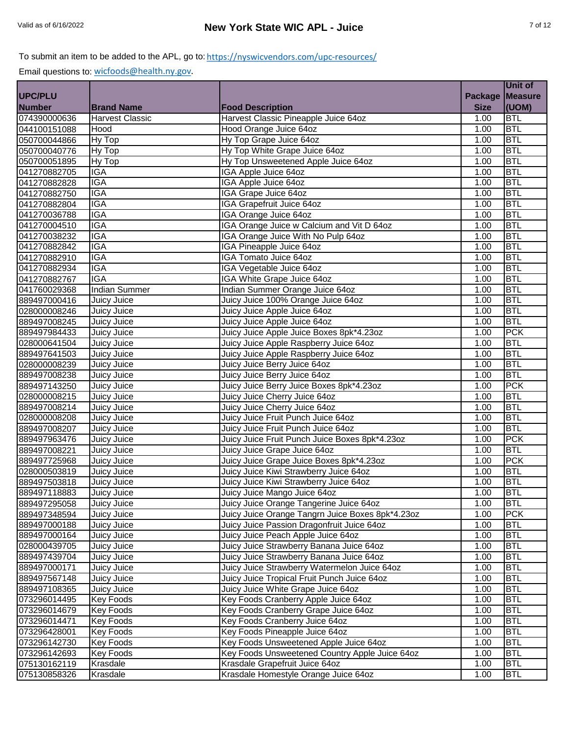|               |                        |                                                  |                | Unit of        |
|---------------|------------------------|--------------------------------------------------|----------------|----------------|
| UPC/PLU       |                        |                                                  | <b>Package</b> | <b>Measure</b> |
| <b>Number</b> | <b>Brand Name</b>      | <b>Food Description</b>                          | <b>Size</b>    | (UOM)          |
| 074390000636  | <b>Harvest Classic</b> | Harvest Classic Pineapple Juice 64oz             | 1.00           | <b>BTL</b>     |
| 044100151088  | Hood                   | Hood Orange Juice 64oz                           | 1.00           | <b>BTL</b>     |
| 050700044866  | Hy Top                 | Hy Top Grape Juice 64oz                          | 1.00           | <b>BTL</b>     |
| 050700040776  | Hy Top                 | Hy Top White Grape Juice 64oz                    | 1.00           | <b>BTL</b>     |
| 050700051895  | Hy Top                 | Hy Top Unsweetened Apple Juice 64oz              | 1.00           | <b>BTL</b>     |
| 041270882705  | <b>IGA</b>             | IGA Apple Juice 64oz                             | 1.00           | <b>BTL</b>     |
| 041270882828  | <b>IGA</b>             | IGA Apple Juice 64oz                             | 1.00           | <b>BTL</b>     |
| 041270882750  | <b>IGA</b>             | IGA Grape Juice 64oz                             | 1.00           | <b>BTL</b>     |
| 041270882804  | <b>IGA</b>             | IGA Grapefruit Juice 64oz                        | 1.00           | <b>BTL</b>     |
| 041270036788  | <b>IGA</b>             | IGA Orange Juice 64oz                            | 1.00           | <b>BTL</b>     |
| 041270004510  | <b>IGA</b>             | IGA Orange Juice w Calcium and Vit D 64oz        | 1.00           | <b>BTL</b>     |
| 041270038232  | <b>IGA</b>             | IGA Orange Juice With No Pulp 64oz               | 1.00           | <b>BTL</b>     |
| 041270882842  | <b>IGA</b>             | IGA Pineapple Juice 64oz                         | 1.00           | <b>BTL</b>     |
| 041270882910  | <b>IGA</b>             | IGA Tomato Juice 64oz                            | 1.00           | <b>BTL</b>     |
| 041270882934  | <b>IGA</b>             | IGA Vegetable Juice 64oz                         | 1.00           | <b>BTL</b>     |
| 041270882767  | <b>IGA</b>             | IGA White Grape Juice 64oz                       | 1.00           | <b>BTL</b>     |
| 041760029368  | <b>Indian Summer</b>   | Indian Summer Orange Juice 64oz                  |                | <b>BTL</b>     |
|               |                        |                                                  | 1.00           | <b>BTL</b>     |
| 889497000416  | Juicy Juice            | Juicy Juice 100% Orange Juice 64oz               | 1.00           | <b>BTL</b>     |
| 028000008246  | Juicy Juice            | Juicy Juice Apple Juice 64oz                     | 1.00           |                |
| 889497008245  | Juicy Juice            | Juicy Juice Apple Juice 64oz                     | 1.00           | <b>BTL</b>     |
| 889497984433  | Juicy Juice            | Juicy Juice Apple Juice Boxes 8pk*4.23oz         | 1.00           | <b>PCK</b>     |
| 028000641504  | Juicy Juice            | Juicy Juice Apple Raspberry Juice 64oz           | 1.00           | <b>BTL</b>     |
| 889497641503  | Juicy Juice            | Juicy Juice Apple Raspberry Juice 64oz           | 1.00           | <b>BTL</b>     |
| 028000008239  | Juicy Juice            | Juicy Juice Berry Juice 64oz                     | 1.00           | <b>BTL</b>     |
| 889497008238  | Juicy Juice            | Juicy Juice Berry Juice 64oz                     | 1.00           | <b>BTL</b>     |
| 889497143250  | Juicy Juice            | Juicy Juice Berry Juice Boxes 8pk*4.23oz         | 1.00           | <b>PCK</b>     |
| 028000008215  | Juicy Juice            | Juicy Juice Cherry Juice 64oz                    | 1.00           | <b>BTL</b>     |
| 889497008214  | Juicy Juice            | Juicy Juice Cherry Juice 64oz                    | 1.00           | <b>BTL</b>     |
| 028000008208  | Juicy Juice            | Juicy Juice Fruit Punch Juice 64oz               | 1.00           | <b>BTL</b>     |
| 889497008207  | Juicy Juice            | Juicy Juice Fruit Punch Juice 64oz               | 1.00           | <b>BTL</b>     |
| 889497963476  | Juicy Juice            | Juicy Juice Fruit Punch Juice Boxes 8pk*4.23oz   | 1.00           | PCK            |
| 889497008221  | Juicy Juice            | Juicy Juice Grape Juice 64oz                     | 1.00           | <b>BTL</b>     |
| 889497725968  | Juicy Juice            | Juicy Juice Grape Juice Boxes 8pk*4.23oz         | 1.00           | <b>PCK</b>     |
| 028000503819  | Juicy Juice            | Juicy Juice Kiwi Strawberry Juice 64oz           | 1.00           | <b>BTL</b>     |
| 889497503818  | Juicy Juice            | Juicy Juice Kiwi Strawberry Juice 64oz           | 1.00           | <b>BTL</b>     |
| 889497118883  | Juicy Juice            | Juicy Juice Mango Juice 64oz                     | 1.00           | <b>BTL</b>     |
| 889497295058  | Juicy Juice            | Juicy Juice Orange Tangerine Juice 64oz          | 1.00           | <b>BTL</b>     |
| 889497348594  | Juicy Juice            | Juicy Juice Orange Tangrn Juice Boxes 8pk*4.23oz | 1.00           | <b>PCK</b>     |
| 889497000188  | Juicy Juice            | Juicy Juice Passion Dragonfruit Juice 64oz       | 1.00           | <b>BTL</b>     |
| 889497000164  | Juicy Juice            | Juicy Juice Peach Apple Juice 64oz               | 1.00           | <b>BTL</b>     |
| 028000439705  | Juicy Juice            | Juicy Juice Strawberry Banana Juice 64oz         | 1.00           | <b>BTL</b>     |
| 889497439704  | Juicy Juice            | Juicy Juice Strawberry Banana Juice 64oz         | 1.00           | <b>BTL</b>     |
| 889497000171  | Juicy Juice            | Juicy Juice Strawberry Watermelon Juice 64oz     | 1.00           | <b>BTL</b>     |
| 889497567148  | Juicy Juice            | Juicy Juice Tropical Fruit Punch Juice 64oz      | 1.00           | <b>BTL</b>     |
| 889497108365  | Juicy Juice            | Juicy Juice White Grape Juice 64oz               | 1.00           | <b>BTL</b>     |
| 073296014495  | <b>Key Foods</b>       | Key Foods Cranberry Apple Juice 64oz             | 1.00           | <b>BTL</b>     |
| 073296014679  | <b>Key Foods</b>       | Key Foods Cranberry Grape Juice 64oz             | 1.00           | <b>BTL</b>     |
| 073296014471  | <b>Key Foods</b>       | Key Foods Cranberry Juice 64oz                   | 1.00           | <b>BTL</b>     |
| 073296428001  | <b>Key Foods</b>       | Key Foods Pineapple Juice 64oz                   | 1.00           | <b>BTL</b>     |
| 073296142730  | <b>Key Foods</b>       | Key Foods Unsweetened Apple Juice 64oz           | 1.00           | <b>BTL</b>     |
| 073296142693  | <b>Key Foods</b>       | Key Foods Unsweetened Country Apple Juice 64oz   | 1.00           | <b>BTL</b>     |
| 075130162119  | Krasdale               | Krasdale Grapefruit Juice 64oz                   | 1.00           | <b>BTL</b>     |
| 075130858326  | Krasdale               | Krasdale Homestyle Orange Juice 64oz             | 1.00           | <b>BTL</b>     |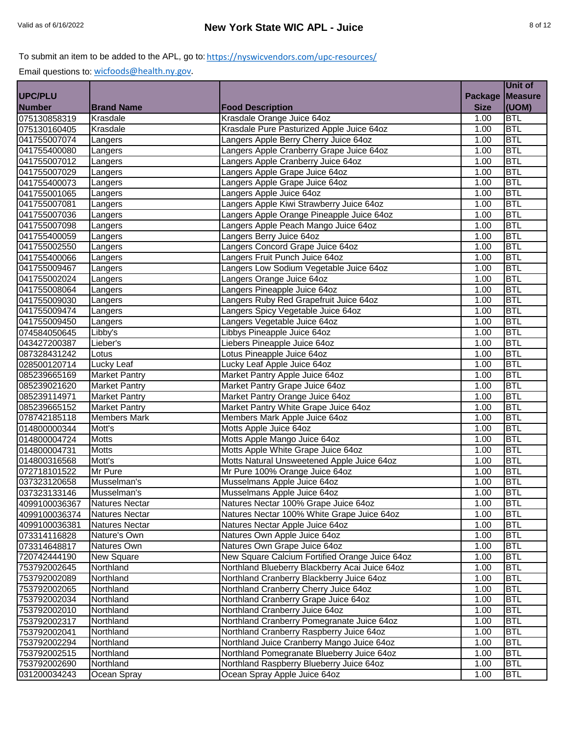|                |                       |                                                |                | Unit of        |
|----------------|-----------------------|------------------------------------------------|----------------|----------------|
| <b>UPC/PLU</b> |                       |                                                | <b>Package</b> | <b>Measure</b> |
| <b>Number</b>  | <b>Brand Name</b>     | <b>Food Description</b>                        | <b>Size</b>    | (UOM)          |
| 075130858319   | Krasdale              | Krasdale Orange Juice 64oz                     | 1.00           | <b>BTL</b>     |
| 075130160405   | Krasdale              | Krasdale Pure Pasturized Apple Juice 64oz      | 1.00           | <b>BTL</b>     |
| 041755007074   | Langers               | Langers Apple Berry Cherry Juice 64oz          | 1.00           | <b>BTL</b>     |
| 041755400080   | Langers               | Langers Apple Cranberry Grape Juice 64oz       | 1.00           | <b>BTL</b>     |
| 041755007012   | Langers               | Langers Apple Cranberry Juice 64oz             | 1.00           | <b>BTL</b>     |
| 041755007029   | Langers               | Langers Apple Grape Juice 64oz                 | 1.00           | <b>BTL</b>     |
| 041755400073   | Langers               | Langers Apple Grape Juice 64oz                 | 1.00           | <b>BTL</b>     |
| 041755001065   | Langers               | Langers Apple Juice 64oz                       | 1.00           | <b>BTL</b>     |
| 041755007081   | Langers               | Langers Apple Kiwi Strawberry Juice 64oz       | 1.00           | <b>BTL</b>     |
| 041755007036   | Langers               | Langers Apple Orange Pineapple Juice 64oz      | 1.00           | <b>BTL</b>     |
| 041755007098   | Langers               | Langers Apple Peach Mango Juice 64oz           | 1.00           | <b>BTL</b>     |
| 041755400059   | Langers               | Langers Berry Juice 64oz                       | 1.00           | <b>BTL</b>     |
| 041755002550   | Langers               | Langers Concord Grape Juice 64oz               | 1.00           | <b>BTL</b>     |
| 041755400066   | Langers               | Langers Fruit Punch Juice 64oz                 | 1.00           | <b>BTL</b>     |
| 041755009467   | Langers               | Langers Low Sodium Vegetable Juice 64oz        | 1.00           | <b>BTL</b>     |
| 041755002024   | Langers               | Langers Orange Juice 64oz                      | 1.00           | <b>BTL</b>     |
| 041755008064   | Langers               | Langers Pineapple Juice 64oz                   | 1.00           | <b>BTL</b>     |
| 041755009030   | Langers               | Langers Ruby Red Grapefruit Juice 64oz         | 1.00           | <b>BTL</b>     |
| 041755009474   | Langers               | Langers Spicy Vegetable Juice 64oz             | 1.00           | <b>BTL</b>     |
| 041755009450   | Langers               | Langers Vegetable Juice 64oz                   | 1.00           | <b>BTL</b>     |
| 074584050645   | Libby's               | Libbys Pineapple Juice 64oz                    | 1.00           | <b>BTL</b>     |
| 043427200387   | Lieber's              | Liebers Pineapple Juice 64oz                   | 1.00           | <b>BTL</b>     |
| 087328431242   | Lotus                 | Lotus Pineapple Juice 64oz                     | 1.00           | <b>BTL</b>     |
| 028500120714   | Lucky Leaf            | Lucky Leaf Apple Juice 64oz                    | 1.00           | <b>BTL</b>     |
| 085239665169   | <b>Market Pantry</b>  | Market Pantry Apple Juice 64oz                 | 1.00           | <b>BTL</b>     |
| 085239021620   | <b>Market Pantry</b>  | Market Pantry Grape Juice 64oz                 | 1.00           | <b>BTL</b>     |
| 085239114971   | <b>Market Pantry</b>  | Market Pantry Orange Juice 64oz                | 1.00           | <b>BTL</b>     |
| 085239665152   | <b>Market Pantry</b>  | Market Pantry White Grape Juice 64oz           | 1.00           | <b>BTL</b>     |
| 078742185118   | <b>Members Mark</b>   | Members Mark Apple Juice 64oz                  | 1.00           | <b>BTL</b>     |
| 014800000344   | Mott's                | Motts Apple Juice 64oz                         | 1.00           | <b>BTL</b>     |
| 014800004724   | <b>Motts</b>          | Motts Apple Mango Juice 64oz                   | 1.00           | <b>BTL</b>     |
| 014800004731   | <b>Motts</b>          | Motts Apple White Grape Juice 64oz             | 1.00           | <b>BTL</b>     |
| 014800316568   | Mott's                | Motts Natural Unsweetened Apple Juice 64oz     | 1.00           | <b>BTL</b>     |
| 072718101522   | Mr Pure               | Mr Pure 100% Orange Juice 64oz                 | 1.00           | <b>BTL</b>     |
| 037323120658   | Musselman's           | Musselmans Apple Juice 64oz                    | 1.00           | <b>BTL</b>     |
| 037323133146   | Musselman's           | Musselmans Apple Juice 64oz                    | 1.00           | <b>BTL</b>     |
| 4099100036367  | <b>Natures Nectar</b> | Natures Nectar 100% Grape Juice 64oz           | 1.00           | <b>BTL</b>     |
| 4099100036374  | <b>Natures Nectar</b> | Natures Nectar 100% White Grape Juice 64oz     | 1.00           | <b>BTL</b>     |
| 4099100036381  | <b>Natures Nectar</b> | Natures Nectar Apple Juice 64oz                | 1.00           | <b>BTL</b>     |
| 073314116828   | Nature's Own          | Natures Own Apple Juice 64oz                   | 1.00           | <b>BTL</b>     |
| 073314648817   | Natures Own           | Natures Own Grape Juice 64oz                   | 1.00           | <b>BTL</b>     |
| 720742444190   | New Square            | New Square Calcium Fortified Orange Juice 64oz | 1.00           | <b>BTL</b>     |
| 753792002645   | Northland             | Northland Blueberry Blackberry Acai Juice 64oz | 1.00           | <b>BTL</b>     |
| 753792002089   | Northland             | Northland Cranberry Blackberry Juice 64oz      | 1.00           | <b>BTL</b>     |
| 753792002065   | Northland             | Northland Cranberry Cherry Juice 64oz          | 1.00           | <b>BTL</b>     |
| 753792002034   | Northland             | Northland Cranberry Grape Juice 64oz           | 1.00           | <b>BTL</b>     |
| 753792002010   | Northland             | Northland Cranberry Juice 64oz                 | 1.00           | <b>BTL</b>     |
| 753792002317   | Northland             | Northland Cranberry Pomegranate Juice 64oz     | 1.00           | <b>BTL</b>     |
| 753792002041   | Northland             | Northland Cranberry Raspberry Juice 64oz       | 1.00           | <b>BTL</b>     |
| 753792002294   | Northland             | Northland Juice Cranberry Mango Juice 64oz     | 1.00           | <b>BTL</b>     |
| 753792002515   | Northland             | Northland Pomegranate Blueberry Juice 64oz     | 1.00           | <b>BTL</b>     |
| 753792002690   | Northland             | Northland Raspberry Blueberry Juice 64oz       | 1.00           | <b>BTL</b>     |
| 031200034243   | Ocean Spray           | Ocean Spray Apple Juice 64oz                   | 1.00           | <b>BTL</b>     |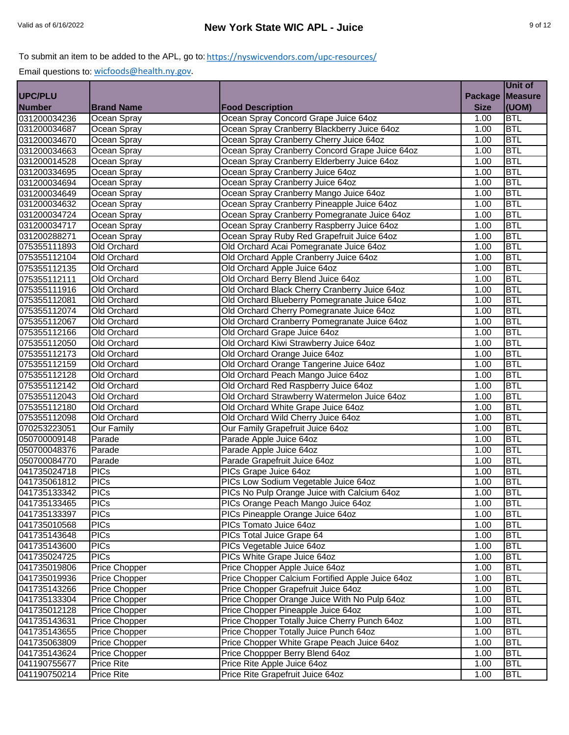|                |                   |                                                  |                | Unit of        |
|----------------|-------------------|--------------------------------------------------|----------------|----------------|
| <b>UPC/PLU</b> |                   |                                                  | <b>Package</b> | <b>Measure</b> |
| <b>Number</b>  | <b>Brand Name</b> | <b>Food Description</b>                          | <b>Size</b>    | (UOM)          |
| 031200034236   | Ocean Spray       | Ocean Spray Concord Grape Juice 64oz             | 1.00           | <b>BTL</b>     |
| 031200034687   | Ocean Spray       | Ocean Spray Cranberry Blackberry Juice 64oz      | 1.00           | <b>BTL</b>     |
| 031200034670   | Ocean Spray       | Ocean Spray Cranberry Cherry Juice 64oz          | 1.00           | <b>BTL</b>     |
| 031200034663   | Ocean Spray       | Ocean Spray Cranberry Concord Grape Juice 64oz   | 1.00           | <b>BTL</b>     |
| 031200014528   | Ocean Spray       | Ocean Spray Cranberry Elderberry Juice 64oz      | 1.00           | <b>BTL</b>     |
| 031200334695   | Ocean Spray       | Ocean Spray Cranberry Juice 64oz                 | 1.00           | <b>BTL</b>     |
| 031200034694   | Ocean Spray       | Ocean Spray Cranberry Juice 64oz                 | 1.00           | <b>BTL</b>     |
| 031200034649   | Ocean Spray       | Ocean Spray Cranberry Mango Juice 64oz           | 1.00           | <b>BTL</b>     |
| 031200034632   | Ocean Spray       | Ocean Spray Cranberry Pineapple Juice 64oz       | 1.00           | <b>BTL</b>     |
| 031200034724   | Ocean Spray       | Ocean Spray Cranberry Pomegranate Juice 64oz     | 1.00           | <b>BTL</b>     |
| 031200034717   | Ocean Spray       | Ocean Spray Cranberry Raspberry Juice 64oz       | 1.00           | <b>BTL</b>     |
| 031200288271   | Ocean Spray       | Ocean Spray Ruby Red Grapefruit Juice 64oz       | 1.00           | <b>BTL</b>     |
| 075355111893   | Old Orchard       | Old Orchard Acai Pomegranate Juice 64oz          | 1.00           | <b>BTL</b>     |
| 075355112104   | Old Orchard       | Old Orchard Apple Cranberry Juice 64oz           | 1.00           | <b>BTL</b>     |
| 075355112135   | Old Orchard       | Old Orchard Apple Juice 64oz                     | 1.00           | <b>BTL</b>     |
| 075355112111   | Old Orchard       | Old Orchard Berry Blend Juice 64oz               | 1.00           | <b>BTL</b>     |
| 075355111916   | Old Orchard       | Old Orchard Black Cherry Cranberry Juice 64oz    | 1.00           | <b>BTL</b>     |
| 075355112081   | Old Orchard       | Old Orchard Blueberry Pomegranate Juice 64oz     | 1.00           | <b>BTL</b>     |
| 075355112074   | Old Orchard       | Old Orchard Cherry Pomegranate Juice 64oz        | 1.00           | <b>BTL</b>     |
| 075355112067   | Old Orchard       | Old Orchard Cranberry Pomegranate Juice 64oz     | 1.00           | <b>BTL</b>     |
| 075355112166   | Old Orchard       | Old Orchard Grape Juice 64oz                     | 1.00           | <b>BTL</b>     |
| 075355112050   | Old Orchard       | Old Orchard Kiwi Strawberry Juice 64oz           | 1.00           | <b>BTL</b>     |
| 075355112173   | Old Orchard       | Old Orchard Orange Juice 64oz                    | 1.00           | <b>BTL</b>     |
| 075355112159   | Old Orchard       | Old Orchard Orange Tangerine Juice 64oz          | 1.00           | <b>BTL</b>     |
| 075355112128   | Old Orchard       | Old Orchard Peach Mango Juice 64oz               | 1.00           | <b>BTL</b>     |
| 075355112142   | Old Orchard       | Old Orchard Red Raspberry Juice 64oz             | 1.00           | <b>BTL</b>     |
| 075355112043   | Old Orchard       | Old Orchard Strawberry Watermelon Juice 64oz     | 1.00           | <b>BTL</b>     |
| 075355112180   | Old Orchard       | Old Orchard White Grape Juice 64oz               | 1.00           | <b>BTL</b>     |
| 075355112098   | Old Orchard       | Old Orchard Wild Cherry Juice 64oz               | 1.00           | <b>BTL</b>     |
| 070253223051   | Our Family        | Our Family Grapefruit Juice 64oz                 | 1.00           | <b>BTL</b>     |
| 050700009148   | Parade            | Parade Apple Juice 64oz                          | 1.00           | <b>BTL</b>     |
| 050700048376   | Parade            | Parade Apple Juice 64oz                          | 1.00           | <b>BTL</b>     |
| 050700084770   | Parade            | Parade Grapefruit Juice 64oz                     | 1.00           | <b>BTL</b>     |
| 041735024718   | <b>PICs</b>       | PICs Grape Juice 64oz                            | 1.00           | <b>BTL</b>     |
| 041735061812   | <b>PICs</b>       | PICs Low Sodium Vegetable Juice 64oz             | 1.00           | <b>BTL</b>     |
| 041735133342   | <b>PICs</b>       | PICs No Pulp Orange Juice with Calcium 64oz      | 1.00           | <b>BTL</b>     |
| 041735133465   | <b>PICs</b>       | PICs Orange Peach Mango Juice 64oz               | 1.00           | <b>BTL</b>     |
| 041735133397   | <b>PICs</b>       | PICs Pineapple Orange Juice 64oz                 | 1.00           | <b>BTL</b>     |
| 041735010568   | <b>PICs</b>       | PICs Tomato Juice 64oz                           | 1.00           | <b>BTL</b>     |
| 041735143648   | <b>PICs</b>       | PICs Total Juice Grape 64                        | 1.00           | <b>BTL</b>     |
| 041735143600   | <b>PICs</b>       | PICs Vegetable Juice 64oz                        | 1.00           | <b>BTL</b>     |
| 041735024725   | <b>PICs</b>       | PICs White Grape Juice 64oz                      | 1.00           | <b>BTL</b>     |
| 041735019806   | Price Chopper     | Price Chopper Apple Juice 64oz                   | 1.00           | <b>BTL</b>     |
| 041735019936   | Price Chopper     | Price Chopper Calcium Fortified Apple Juice 64oz | 1.00           | <b>BTL</b>     |
| 041735143266   | Price Chopper     | Price Chopper Grapefruit Juice 64oz              | 1.00           | <b>BTL</b>     |
| 041735133304   | Price Chopper     | Price Chopper Orange Juice With No Pulp 64oz     | 1.00           | <b>BTL</b>     |
| 041735012128   | Price Chopper     | Price Chopper Pineapple Juice 64oz               | 1.00           | <b>BTL</b>     |
| 041735143631   | Price Chopper     | Price Chopper Totally Juice Cherry Punch 64oz    | 1.00           | <b>BTL</b>     |
| 041735143655   | Price Chopper     | Price Chopper Totally Juice Punch 64oz           | 1.00           | <b>BTL</b>     |
| 041735063809   | Price Chopper     | Price Chopper White Grape Peach Juice 64oz       | 1.00           | <b>BTL</b>     |
| 041735143624   | Price Chopper     | Price Choppper Berry Blend 64oz                  | 1.00           | <b>BTL</b>     |
| 041190755677   | <b>Price Rite</b> | Price Rite Apple Juice 64oz                      | 1.00           | <b>BTL</b>     |
| 041190750214   | Price Rite        | Price Rite Grapefruit Juice 64oz                 | 1.00           | <b>BTL</b>     |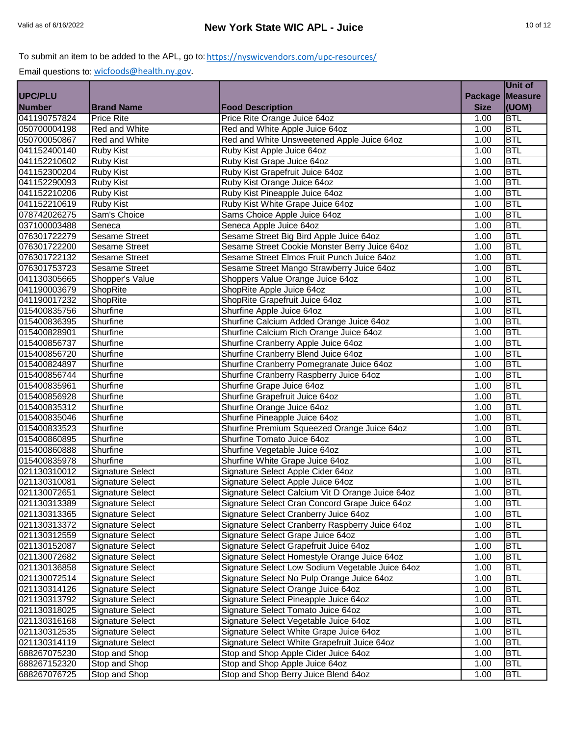|                |                         |                                                  |                    | Unit of        |
|----------------|-------------------------|--------------------------------------------------|--------------------|----------------|
| <b>UPC/PLU</b> |                         |                                                  | <b>Package</b>     | <b>Measure</b> |
| <b>Number</b>  | <b>Brand Name</b>       | <b>Food Description</b>                          | <b>Size</b>        | (UOM)          |
| 041190757824   | <b>Price Rite</b>       | Price Rite Orange Juice 64oz                     | 1.00               | <b>BTL</b>     |
| 050700004198   | Red and White           | Red and White Apple Juice 64oz                   | 1.00               | <b>BTL</b>     |
| 050700050867   | <b>Red and White</b>    | Red and White Unsweetened Apple Juice 64oz       | 1.00               | <b>BTL</b>     |
| 041152400140   | <b>Ruby Kist</b>        | Ruby Kist Apple Juice 64oz                       | 1.00               | <b>BTL</b>     |
| 041152210602   | Ruby Kist               | Ruby Kist Grape Juice 64oz                       | 1.00               | <b>BTL</b>     |
| 041152300204   | Ruby Kist               | Ruby Kist Grapefruit Juice 64oz                  | 1.00               | <b>BTL</b>     |
| 041152290093   | Ruby Kist               | Ruby Kist Orange Juice 64oz                      | 1.00               | <b>BTL</b>     |
| 041152210206   | Ruby Kist               | Ruby Kist Pineapple Juice 64oz                   | 1.00               | <b>BTL</b>     |
| 041152210619   | Ruby Kist               | Ruby Kist White Grape Juice 64oz                 | 1.00               | <b>BTL</b>     |
| 078742026275   | Sam's Choice            | Sams Choice Apple Juice 64oz                     | 1.00               | <b>BTL</b>     |
| 037100003488   | Seneca                  | Seneca Apple Juice 64oz                          | 1.00               | <b>BTL</b>     |
| 076301722279   | <b>Sesame Street</b>    | Sesame Street Big Bird Apple Juice 64oz          | 1.00               | <b>BTL</b>     |
| 076301722200   | <b>Sesame Street</b>    | Sesame Street Cookie Monster Berry Juice 64oz    | 1.00               | <b>BTL</b>     |
| 076301722132   | <b>Sesame Street</b>    | Sesame Street Elmos Fruit Punch Juice 64oz       | 1.00               | <b>BTL</b>     |
| 076301753723   | <b>Sesame Street</b>    | Sesame Street Mango Strawberry Juice 64oz        | 1.00               | <b>BTL</b>     |
| 041130305665   | Shopper's Value         | Shoppers Value Orange Juice 64oz                 | 1.00               | <b>BTL</b>     |
| 041190003679   | ShopRite                | ShopRite Apple Juice 64oz                        | 1.00               | <b>BTL</b>     |
| 041190017232   | ShopRite                | ShopRite Grapefruit Juice 64oz                   | 1.00               | <b>BTL</b>     |
| 015400835756   | Shurfine                | Shurfine Apple Juice 64oz                        | 1.00               | <b>BTL</b>     |
| 015400836395   | Shurfine                | Shurfine Calcium Added Orange Juice 64oz         | 1.00               | <b>BTL</b>     |
| 015400828901   | Shurfine                | Shurfine Calcium Rich Orange Juice 64oz          | 1.00               | <b>BTL</b>     |
| 015400856737   | Shurfine                | Shurfine Cranberry Apple Juice 64oz              | 1.00               | <b>BTL</b>     |
| 015400856720   | Shurfine                | Shurfine Cranberry Blend Juice 64oz              | 1.00               | <b>BTL</b>     |
| 015400824897   | Shurfine                | Shurfine Cranberry Pomegranate Juice 64oz        | 1.00               | <b>BTL</b>     |
| 015400856744   | Shurfine                | Shurfine Cranberry Raspberry Juice 64oz          | 1.00               | <b>BTL</b>     |
| 015400835961   | Shurfine                | Shurfine Grape Juice 64oz                        | 1.00               | <b>BTL</b>     |
| 015400856928   | Shurfine                | Shurfine Grapefruit Juice 64oz                   | 1.00               | <b>BTL</b>     |
| 015400835312   | Shurfine                | Shurfine Orange Juice 64oz                       | 1.00               | <b>BTL</b>     |
| 015400835046   | Shurfine                | Shurfine Pineapple Juice 64oz                    | 1.00               | <b>BTL</b>     |
| 015400833523   | Shurfine                | Shurfine Premium Squeezed Orange Juice 64oz      | 1.00               | <b>BTL</b>     |
| 015400860895   | Shurfine                | Shurfine Tomato Juice 64oz                       | 1.00               | <b>BTL</b>     |
| 015400860888   | Shurfine                | Shurfine Vegetable Juice 64oz                    | 1.00               | <b>BTL</b>     |
| 015400835978   | Shurfine                | Shurfine White Grape Juice 64oz                  | 1.00               | <b>BTL</b>     |
| 021130310012   | <b>Signature Select</b> | Signature Select Apple Cider 64oz                | $\overline{1}$ .00 | <b>BTL</b>     |
| 021130310081   | <b>Signature Select</b> | Signature Select Apple Juice 64oz                | 1.00               | <b>BTL</b>     |
| 021130072651   | <b>Signature Select</b> | Signature Select Calcium Vit D Orange Juice 64oz | 1.00               | <b>BTL</b>     |
| 021130313389   | Signature Select        | Signature Select Cran Concord Grape Juice 64oz   | 1.00               | <b>BTL</b>     |
| 021130313365   | <b>Signature Select</b> | Signature Select Cranberry Juice 64oz            | 1.00               | <b>BTL</b>     |
| 021130313372   | <b>Signature Select</b> | Signature Select Cranberry Raspberry Juice 64oz  | 1.00               | <b>BTL</b>     |
| 021130312559   | Signature Select        | Signature Select Grape Juice 64oz                | 1.00               | <b>BTL</b>     |
| 021130152087   | Signature Select        | Signature Select Grapefruit Juice 64oz           | 1.00               | <b>BTL</b>     |
| 021130072682   | Signature Select        | Signature Select Homestyle Orange Juice 64oz     | 1.00               | <b>BTL</b>     |
| 021130136858   | Signature Select        | Signature Select Low Sodium Vegetable Juice 64oz | 1.00               | <b>BTL</b>     |
| 021130072514   | Signature Select        | Signature Select No Pulp Orange Juice 64oz       | 1.00               | <b>BTL</b>     |
| 021130314126   | <b>Signature Select</b> | Signature Select Orange Juice 64oz               | 1.00               | <b>BTL</b>     |
| 021130313792   | Signature Select        | Signature Select Pineapple Juice 64oz            | 1.00               | <b>BTL</b>     |
| 021130318025   | Signature Select        | Signature Select Tomato Juice 64oz               | 1.00               | <b>BTL</b>     |
| 021130316168   | Signature Select        | Signature Select Vegetable Juice 64oz            | 1.00               | <b>BTL</b>     |
| 021130312535   | Signature Select        | Signature Select White Grape Juice 64oz          | 1.00               | <b>BTL</b>     |
| 021130314119   | <b>Signature Select</b> | Signature Select White Grapefruit Juice 64oz     | 1.00               | <b>BTL</b>     |
| 688267075230   | Stop and Shop           | Stop and Shop Apple Cider Juice 64oz             | 1.00               | <b>BTL</b>     |
| 688267152320   | Stop and Shop           | Stop and Shop Apple Juice 64oz                   | 1.00               | <b>BTL</b>     |
| 688267076725   | Stop and Shop           | Stop and Shop Berry Juice Blend 64oz             | 1.00               | <b>BTL</b>     |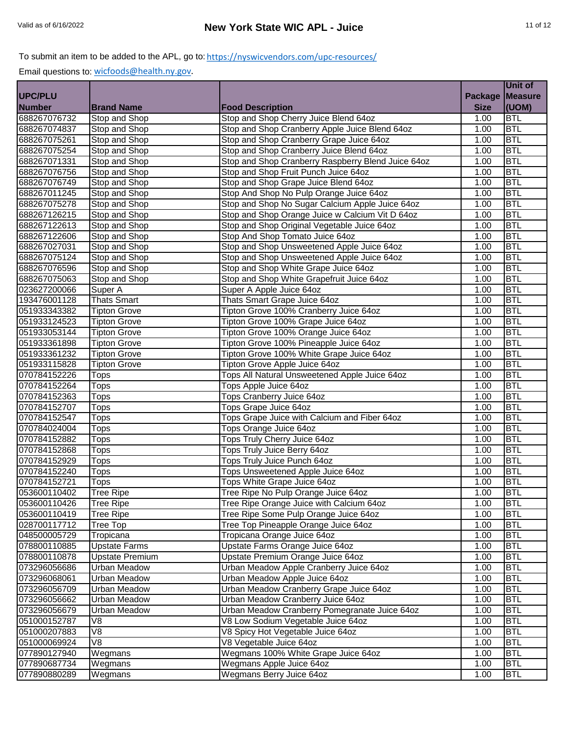|               |                        |                                                    |                | Unit of        |
|---------------|------------------------|----------------------------------------------------|----------------|----------------|
| UPC/PLU       |                        |                                                    | <b>Package</b> | <b>Measure</b> |
| <b>Number</b> | <b>Brand Name</b>      | <b>Food Description</b>                            | <b>Size</b>    | (UOM)          |
| 688267076732  | Stop and Shop          | Stop and Shop Cherry Juice Blend 64oz              | 1.00           | <b>BTL</b>     |
| 688267074837  | Stop and Shop          | Stop and Shop Cranberry Apple Juice Blend 64oz     | 1.00           | <b>BTL</b>     |
| 688267075261  | Stop and Shop          | Stop and Shop Cranberry Grape Juice 64oz           | 1.00           | <b>BTL</b>     |
| 688267075254  | Stop and Shop          | Stop and Shop Cranberry Juice Blend 64oz           | 1.00           | <b>BTL</b>     |
| 688267071331  | Stop and Shop          | Stop and Shop Cranberry Raspberry Blend Juice 64oz | 1.00           | <b>BTL</b>     |
| 688267076756  | Stop and Shop          | Stop and Shop Fruit Punch Juice 64oz               | 1.00           | <b>BTL</b>     |
| 688267076749  | Stop and Shop          | Stop and Shop Grape Juice Blend 64oz               | 1.00           | <b>BTL</b>     |
| 688267011245  | Stop and Shop          | Stop And Shop No Pulp Orange Juice 64oz            | 1.00           | <b>BTL</b>     |
| 688267075278  | Stop and Shop          | Stop and Shop No Sugar Calcium Apple Juice 64oz    | 1.00           | <b>BTL</b>     |
| 688267126215  | Stop and Shop          | Stop and Shop Orange Juice w Calcium Vit D 64oz    | 1.00           | <b>BTL</b>     |
| 688267122613  | Stop and Shop          | Stop and Shop Original Vegetable Juice 64oz        | 1.00           | <b>BTL</b>     |
| 688267122606  | Stop and Shop          | Stop And Shop Tomato Juice 64oz                    | 1.00           | <b>BTL</b>     |
| 688267027031  | Stop and Shop          | Stop and Shop Unsweetened Apple Juice 64oz         | 1.00           | <b>BTL</b>     |
| 688267075124  | Stop and Shop          | Stop and Shop Unsweetened Apple Juice 64oz         | 1.00           | <b>BTL</b>     |
| 688267076596  | Stop and Shop          | Stop and Shop White Grape Juice 64oz               | 1.00           | <b>BTL</b>     |
| 688267075063  | Stop and Shop          | Stop and Shop White Grapefruit Juice 64oz          | 1.00           | <b>BTL</b>     |
| 023627200066  | Super A                | Super A Apple Juice 64oz                           | 1.00           | <b>BTL</b>     |
| 193476001128  | <b>Thats Smart</b>     | Thats Smart Grape Juice 64oz                       | 1.00           | <b>BTL</b>     |
| 051933343382  | <b>Tipton Grove</b>    | Tipton Grove 100% Cranberry Juice 64oz             | 1.00           | <b>BTL</b>     |
| 051933124523  | <b>Tipton Grove</b>    | Tipton Grove 100% Grape Juice 64oz                 | 1.00           | <b>BTL</b>     |
| 051933053144  | <b>Tipton Grove</b>    | Tipton Grove 100% Orange Juice 64oz                | 1.00           | <b>BTL</b>     |
| 051933361898  | <b>Tipton Grove</b>    | Tipton Grove 100% Pineapple Juice 64oz             | 1.00           | <b>BTL</b>     |
| 051933361232  | <b>Tipton Grove</b>    | Tipton Grove 100% White Grape Juice 64oz           | 1.00           | <b>BTL</b>     |
| 051933115828  | <b>Tipton Grove</b>    | Tipton Grove Apple Juice 64oz                      | 1.00           | <b>BTL</b>     |
| 070784152226  | <b>Tops</b>            | Tops All Natural Unsweetened Apple Juice 64oz      | 1.00           | <b>BTL</b>     |
| 070784152264  | <b>Tops</b>            | Tops Apple Juice 64oz                              | 1.00           | <b>BTL</b>     |
| 070784152363  | <b>Tops</b>            | Tops Cranberry Juice 64oz                          | 1.00           | <b>BTL</b>     |
| 070784152707  | <b>Tops</b>            | Tops Grape Juice 64oz                              | 1.00           | <b>BTL</b>     |
| 070784152547  | <b>Tops</b>            | Tops Grape Juice with Calcium and Fiber 64oz       | 1.00           | <b>BTL</b>     |
| 070784024004  | <b>Tops</b>            | Tops Orange Juice 64oz                             | 1.00           | <b>BTL</b>     |
| 070784152882  | <b>Tops</b>            | Tops Truly Cherry Juice 64oz                       | 1.00           | <b>BTL</b>     |
| 070784152868  | <b>Tops</b>            | Tops Truly Juice Berry 64oz                        | 1.00           | <b>BTL</b>     |
| 070784152929  | Tops                   | Tops Truly Juice Punch 64oz                        | 1.00           | <b>BTL</b>     |
| 070784152240  | <b>Tops</b>            | Tops Unsweetened Apple Juice 64oz                  | 1.00           | <b>BTL</b>     |
| 070784152721  | <b>Tops</b>            | Tops White Grape Juice 64oz                        | 1.00           | <b>BTL</b>     |
| 053600110402  | <b>Tree Ripe</b>       | Tree Ripe No Pulp Orange Juice 64oz                | 1.00           | <b>BTL</b>     |
| 053600110426  | <b>Tree Ripe</b>       | Tree Ripe Orange Juice with Calcium 64oz           | 1.00           | <b>BTL</b>     |
| 053600110419  | <b>Tree Ripe</b>       | Tree Ripe Some Pulp Orange Juice 64oz              | 1.00           | <b>BTL</b>     |
| 028700117712  | Tree Top               | Tree Top Pineapple Orange Juice 64oz               | 1.00           | <b>BTL</b>     |
| 048500005729  | Tropicana              | Tropicana Orange Juice 64oz                        | 1.00           | <b>BTL</b>     |
| 078800110885  | <b>Upstate Farms</b>   | Upstate Farms Orange Juice 64oz                    | 1.00           | <b>BTL</b>     |
| 078800110878  | <b>Upstate Premium</b> | Upstate Premium Orange Juice 64oz                  | 1.00           | <b>BTL</b>     |
| 073296056686  | <b>Urban Meadow</b>    | Urban Meadow Apple Cranberry Juice 64oz            | 1.00           | <b>BTL</b>     |
| 073296068061  | Urban Meadow           | Urban Meadow Apple Juice 64oz                      | 1.00           | <b>BTL</b>     |
| 073296056709  | <b>Urban Meadow</b>    | Urban Meadow Cranberry Grape Juice 64oz            | 1.00           | <b>BTL</b>     |
| 073296056662  | <b>Urban Meadow</b>    | Urban Meadow Cranberry Juice 64oz                  | 1.00           | <b>BTL</b>     |
| 073296056679  | <b>Urban Meadow</b>    | Urban Meadow Cranberry Pomegranate Juice 64oz      | 1.00           | <b>BTL</b>     |
| 051000152787  | V8                     | V8 Low Sodium Vegetable Juice 64oz                 | 1.00           | <b>BTL</b>     |
| 051000207883  | V8                     | V8 Spicy Hot Vegetable Juice 64oz                  | 1.00           | <b>BTL</b>     |
| 051000069924  | V <sub>8</sub>         | V8 Vegetable Juice 64oz                            | 1.00           | <b>BTL</b>     |
| 077890127940  | Wegmans                | Wegmans 100% White Grape Juice 64oz                | 1.00           | <b>BTL</b>     |
| 077890687734  | Wegmans                | Wegmans Apple Juice 64oz                           | 1.00           | <b>BTL</b>     |
| 077890880289  | Wegmans                | Wegmans Berry Juice 64oz                           | 1.00           | <b>BTL</b>     |
|               |                        |                                                    |                |                |